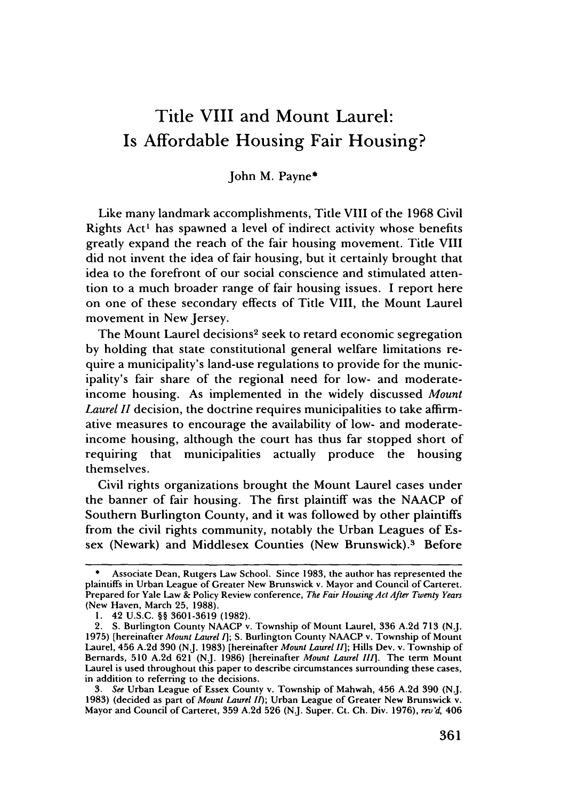# Title VIII and Mount Laurel: Is Affordable Housing Fair Housing?

John M. Payne\*

Like many landmark accomplishments, Title VIII of the 1968 Civil Rights Act' has spawned a level of indirect activity whose benefits greatly expand the reach of the fair housing movement. Title VIII did not invent the idea of fair housing, but it certainly brought that idea to the forefront of our social conscience and stimulated attention to a much broader range of fair housing issues. I report here on one of these secondary effects of Title VIII, the Mount Laurel movement in New Jersey.

The Mount Laurel decisions<sup>2</sup> seek to retard economic segregation **by** holding that state constitutional general welfare limitations require a municipality's land-use regulations to provide for the municipality's fair share of the regional need for low- and moderateincome housing. As implemented in the widely discussed *Mount Laurel II* decision, the doctrine requires municipalities to take affirmative measures to encourage the availability of low- and moderateincome housing, although the court has thus far stopped short of requiring that municipalities actually produce the housing themselves.

Civil rights organizations brought the Mount Laurel cases under the banner of fair housing. The first plaintiff was the NAACP of Southern Burlington County, and it was followed by other plaintiffs from the civil rights community, notably the Urban Leagues of Essex (Newark) and Middlesex Counties (New Brunswick).<sup>3</sup> Before

*3. See* Urban League of Essex County v. Township of Mahwah, 456 A.2d 390 (N.J. 1983) (decided as part of *Mount Laurel I);* Urban League of Greater New Brunswick v. Mayor and Council of Carteret, 359 A.2d 526 (NJ. Super. Ct. **Ch.** Div. 1976), *rev'd,* 406

Associate Dean, Rutgers Law School. Since 1983, the author has represented the plaintiffs in Urban League of Greater New Brunswick v. Mayor and Council of Carteret. Prepared for Yale Law & Policy Review conference, *The Fair Housing Act After Twenty Years* (New Haven, March 25, 1988).

<sup>1. 42</sup> U.S.C. §§ 3601-3619 (1982).

<sup>2.</sup> **S.** Burlington County NAACP v. Township of Mount Laurel, 336 A.2d 713 (N.J. 1975) [hereinafter *Mount Laurel 1];* S. Burlington County NAACP v. Township of Mount Laurel, 456 A.2d 390 (N.J. 1983) [hereinafter *Mount Laurel II];* Hills Dev. v. Township of Bernards, **510 A.2d 621 (N.J. 1986)** [hereinafter *Mount Laurel III].* The term Mount Laurel is used throughout this paper to describe circumstances surrounding these cases, in addition to referring to the decisions.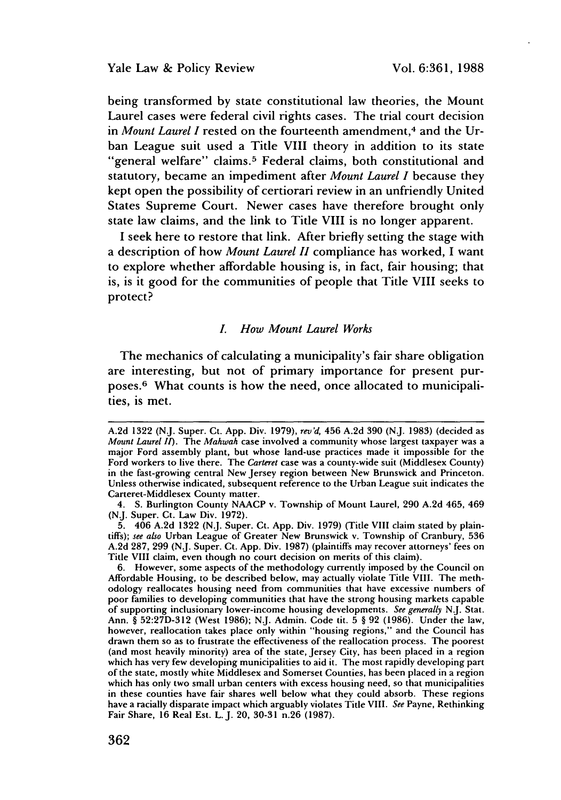being transformed by state constitutional law theories, the Mount Laurel cases were federal civil rights cases. The trial court decision in *Mount Laurel I* rested on the fourteenth amendment, 4 and the Urban League suit used a Title VIII theory in addition to its state "general welfare" claims.<sup>5</sup> Federal claims, both constitutional and statutory, became an impediment after *Mount Laurel I* because they kept open the possibility of certiorari review in an unfriendly United States Supreme Court. Newer cases have therefore brought only state law claims, and the link to Title VIII is no longer apparent.

I seek here to restore that link. After briefly setting the stage with a description of how *Mount Laurel H* compliance has worked, I want to explore whether affordable housing is, in fact, fair housing; that is, is it good for the communities of people that Title VIII seeks to protect?

#### *L How Mount Laurel Works*

The mechanics of calculating a municipality's fair share obligation are interesting, but not of primary importance for present purposes.<sup>6</sup> What counts is how the need, once allocated to municipalities, is met.

**6.** However, some aspects of the methodology currently imposed **by** the Council on Affordable Housing, to be described below, may actually violate Title VIII. The methodology reallocates housing need from communities that have excessive numbers of poor families to developing communities that have the strong housing markets capable of supporting inclusionary lower-income housing developments. *See generally* **N.J.** Stat. Ann. § **52:27D-312** (West **1986); N.J.** Admin. Code **tit. 5** § **92 (1986).** Under the law, however, reallocation takes place only within "housing regions," and the Council has drawn them so as to frustrate the effectiveness of the reallocation process. The poorest (and most heavily minority) area of the state, Jersey City, has been placed in a region which has very few developing municipalities to aid it. The most rapidly developing part of the state, mostly white Middlesex and Somerset Counties, has been placed in a region which has only two small urban centers with excess housing need, so that municipalities in these counties have fair shares well below what they could absorb. These regions have a racially disparate impact which arguably violates Title VIII. *See* Payne, Rethinking Fair Share, **16** Real Est. L.J. 20, **30-31** n.26 **(1987).**

**A.2d** 1322 **(N.J.** Super. Ct. App. Div. 1979), *rev'd,* 456 A.2d **390 (N.J. 1983)** (decided as *Mount Laurel II).* The *Mahwah* case involved a community whose largest taxpayer was a major Ford assembly plant, but whose land-use practices made **it** impossible for the Ford workers to live there. The *Carteret* case was a county-wide suit (Middlesex County) in the fast-growing central New Jersey region between New Brunswick and Princeton. Unless otherwise indicated, subsequent reference to the Urban League suit indicates the Carteret-Middlesex County matter.

<sup>4.</sup> **S.** Burlington County **NAACP** v. Township of Mount Laurel, **290 A.2d** 465, 469 **(NJ.** Super. Ct. Law Div. **1972).**

**<sup>5.</sup>** 406 **A.2d 1322 (NJ.** Super. Ct. **App.** Div. **1979)** (Title VIII claim stated **by** plaintiffs); *see also* Urban League of Greater New Brunswick v. Township of Cranbury, **536 A.2d 287, 299 (N.J.** Super. Ct. **App.** Div. **1987)** (plaintiffs may recover attorneys' fees on Title VIII claim, even though no court decision on merits of this claim).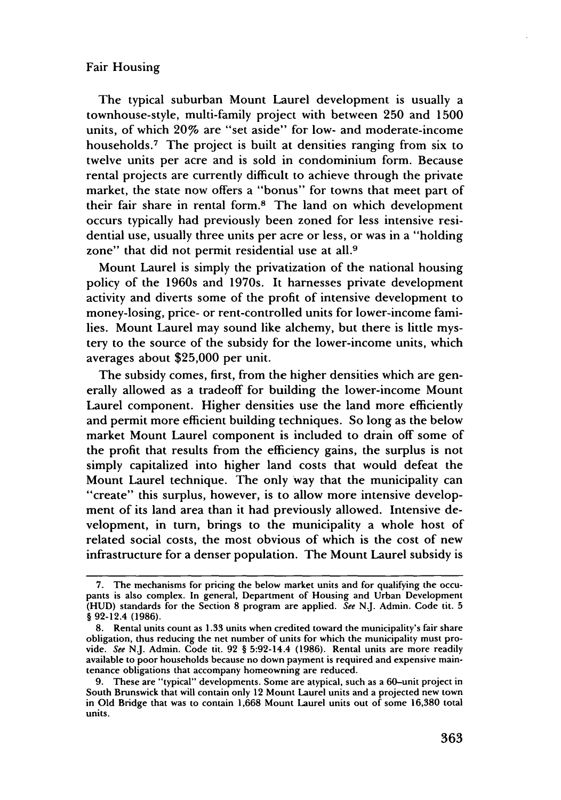The typical suburban Mount Laurel development is usually a townhouse-style, multi-family project with between 250 and 1500 units, of which 20% are "set aside" for low- and moderate-income households.<sup>7</sup> The project is built at densities ranging from six to twelve units per acre and is sold in condominium form. Because rental projects are currently difficult to achieve through the private market, the state now offers a "bonus" for towns that meet part of their fair share in rental form.8 The land on which development occurs typically had previously been zoned for less intensive residential use, usually three units per acre or less, or was in a "holding zone" that did not permit residential use at all.<sup>9</sup>

Mount Laurel is simply the privatization of the national housing policy of the 1960s and 1970s. It harnesses private development activity and diverts some of the profit of intensive development to money-losing, price- or rent-controlled units for lower-income families. Mount Laurel may sound like alchemy, but there is little mystery to the source of the subsidy for the lower-income units, which averages about \$25,000 per unit.

The subsidy comes, first, from the higher densities which are generally allowed as a tradeoff for building the lower-income Mount Laurel component. Higher densities use the land more efficiently and permit more efficient building techniques. So long as the below market Mount Laurel component is included to drain off some of the profit that results from the efficiency gains, the surplus is not simply capitalized into higher land costs that would defeat the Mount Laurel technique. The only Way that the municipality can "create" this surplus, however, is to allow more intensive development of its land area than it had previously allowed. Intensive development, in turn, brings to the municipality a whole host of related social costs, the most obvious of which is the cost of new infrastructure for a denser population. The Mount Laurel subsidy is

<sup>7.</sup> The mechanisms for pricing the below market units and for qualifying the occupants is also complex. In general, Department of Housing and Urban Development (HUD) standards for the Section 8 program are applied. See N.J. Admin. Code tit. 5 § 92-12.4 (1986).

<sup>8.</sup> Rental units count as 1.33 units when credited toward the municipality's fair share obligation, thus reducing the net number of units for which the municipality must provide. See NJ. Admin. Code tit. 92 § 5:92-14.4 (1986). Rental units are more readily available to poor households because no down payment is required and expensive maintenance obligations that accompany homeowning are reduced.

<sup>9.</sup> These are "typical" developments. Some are atypical, such as a 60-unit project in South Brunswick that will contain only 12 Mount Laurel units and a projected new town in Old Bridge that was to contain 1,668 Mount Laurel units out of some 16,380 total units.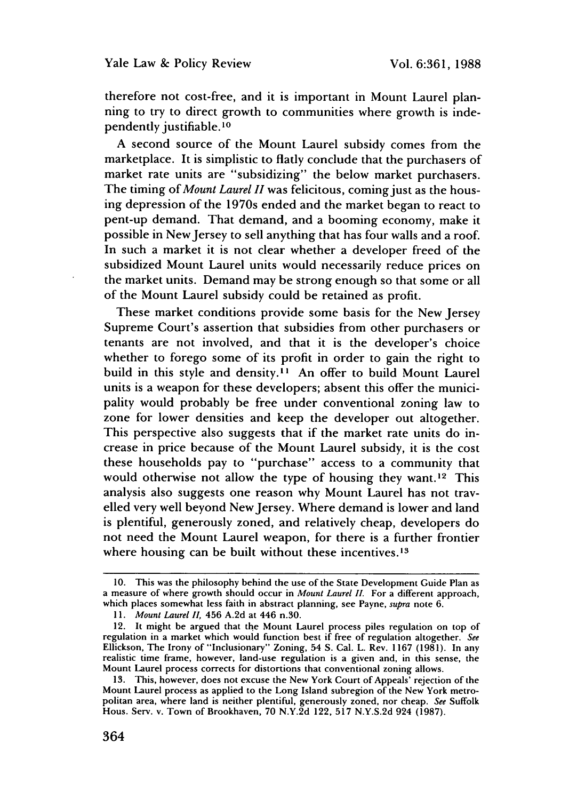therefore not cost-free, and it is important in Mount Laurel planning to try to direct growth to communities where growth is independently justifiable. **1 0**

A second source of the Mount Laurel subsidy comes from the marketplace. It is simplistic to flatly conclude that the purchasers of market rate units are "subsidizing" the below market purchasers. The timing *of Mount Laurel H* was felicitous, coming just as the housing depression of the 1970s ended and the market began to react to pent-up demand. That demand, and a booming economy, make it possible in New Jersey to sell anything that has four walls and a roof. In such a market it is not clear whether a developer freed of the subsidized Mount Laurel units would necessarily reduce prices on the market units. Demand may be strong enough so that some or all of the Mount Laurel subsidy could be retained as profit.

These market conditions provide some basis for the New Jersey Supreme Court's assertion that subsidies from other purchasers or tenants are not involved, and that it is the developer's choice whether to forego some of its profit in order to gain the right to build in this style and density.<sup>11</sup> An offer to build Mount Laurel units is a weapon for these developers; absent this offer the municipality would probably be free under conventional zoning law to zone for lower densities and keep the developer out altogether. This perspective also suggests that if the market rate units do increase in price because of the Mount Laurel subsidy, it is the cost these households pay to "purchase" access to a community that would otherwise not allow the type of housing they want.<sup>12</sup> This analysis also suggests one reason why Mount Laurel has not travelled very well beyond New Jersey. Where demand is lower and land is plentiful, generously zoned, and relatively cheap, developers do not need the Mount Laurel weapon, for there is a further frontier where housing can be built without these incentives.<sup>13</sup>

<sup>10.</sup> This was the philosophy behind the use of the State Development Guide Plan as a measure of where growth should occur in *Mount Laurel II.* For a different approach, which places somewhat less faith in abstract planning, see Payne, *supra* note 6.

*<sup>11.</sup> Mount Laurel II,* 456 A.2d at 446 n.30.

<sup>12.</sup> It might be argued that the Mount Laurel process piles regulation on top of regulation in a market which would function best if free of regulation altogether. *See* Ellickson, The Irony of "Inclusionary" Zoning, 54 **S.** Cal. L. Rev. 1167 (1981). In any realistic time frame, however, land-use regulation is a given and, in this sense, the Mount Laurel process corrects for distortions that conventional zoning allows.

<sup>13.</sup> This, however, does not excuse the New York Court of Appeals' rejection of the Mount Laurel process as applied to the Long Island subregion of the New York metropolitan area, where land is neither plentiful, generously zoned, nor cheap. *See* Suffolk Hous. Serv. v. Town of Brookhaven, 70 N.Y.2d 122, 517 N.Y.S.2d 924 (1987).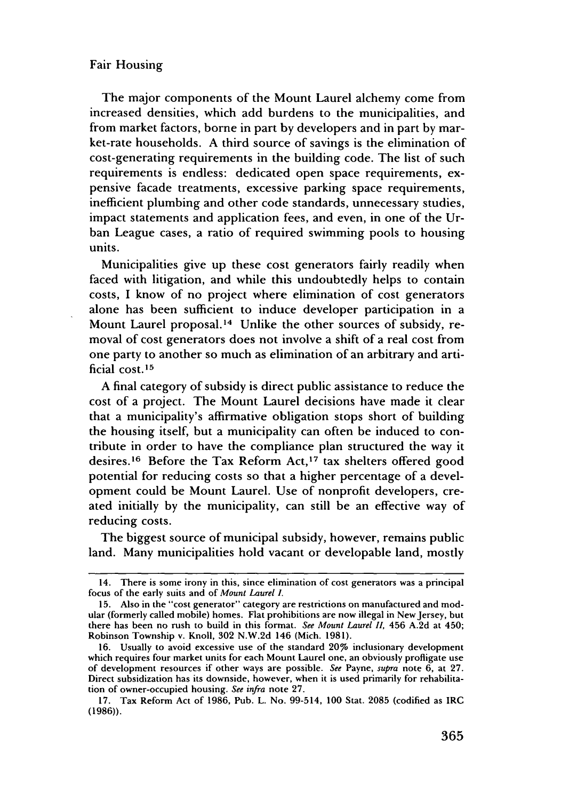The major components of the Mount Laurel alchemy come from increased densities, which add burdens to the municipalities, and from market factors, borne in part by developers and in part by market-rate households. A third source of savings is the elimination of cost-generating requirements in the building code. The list of such requirements is endless: dedicated open space requirements, expensive facade treatments, excessive parking space requirements, inefficient plumbing and other code standards, unnecessary studies, impact statements and application fees, and even, in one of the Urban League cases, a ratio of required swimming pools to housing units.

Municipalities give up these cost generators fairly readily when faced with litigation, and while this undoubtedly helps to contain costs, I know of no project where elimination of cost generators alone has been sufficient to induce developer participation in a Mount Laurel proposal.<sup>14</sup> Unlike the other sources of subsidy, removal of cost generators does not involve a shift of a real cost from one party to another so much as elimination of an arbitrary and artificial cost. <sup>15</sup>

A final category of subsidy is direct public assistance to reduce the cost of a project. The Mount Laurel decisions have made it clear that a municipality's affirmative obligation stops short of building the housing itself, but a municipality can often be induced to contribute in order to have the compliance plan structured the way it desires.<sup>16</sup> Before the Tax Reform Act,<sup>17</sup> tax shelters offered good potential for reducing costs so that a higher percentage of a development could be Mount Laurel. Use of nonprofit developers, created initially by the municipality, can still be an effective way of reducing costs.

The biggest source of municipal subsidy, however, remains public land. Many municipalities hold vacant or developable land, mostly

<sup>14.</sup> There is some irony in this, since elimination of cost generators was a principal focus of the early suits and of *Mount Laurel I.*

<sup>15.</sup> Also in the "cost generator" category are restrictions on manufactured and modular (formerly called mobile) homes. Flat prohibitions are now illegal in NewJersey, but there has been no rush to build in this format. *See Mount Laurel I1,* 456 A.2d at 450; Robinson Township v. Knoll, 302 N.W.2d 146 (Mich. 1981).

<sup>16.</sup> Usually to avoid excessive use of the standard 20% inclusionary development which requires four market units for each Mount Laurel one, an obviously profligate use of development resources if other ways are possible. *See* Payne, *supra* note 6, at 27. Direct subsidization has its downside, however, when it is used primarily for rehabilitation of owner-occupied housing. *See infra* note 27.

<sup>17.</sup> Tax Reform Act of 1986, Pub. L. No. 99-514, 100 Stat. 2085 (codified as IRC (1986)).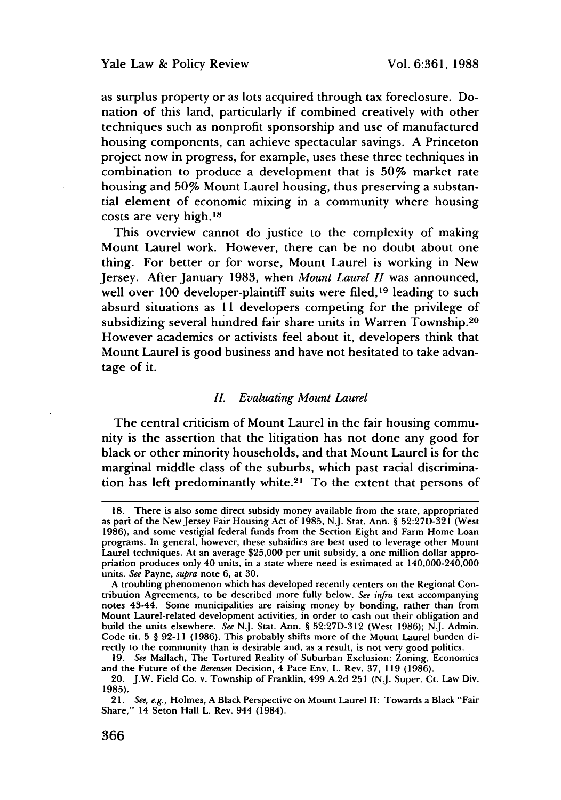as surplus property or as lots acquired through tax foreclosure. Donation of this land, particularly if combined creatively with other techniques such as nonprofit sponsorship and use of manufactured housing components, can achieve spectacular savings. **A** Princeton project now in progress, for example, uses these three techniques in combination to produce a development that is **50%** market rate housing and **50%** Mount Laurel housing, thus preserving a substantial element of economic mixing in a community where housing costs are very high. <sup>18</sup>

This overview cannot do justice to the complexity of making Mount Laurel work. However, there can be no doubt about one thing. For better or for worse, Mount Laurel is working in New Jersey. After January **1983,** when *Mount Laurel II* was announced, well over 100 developer-plaintiff suits were filed,<sup>19</sup> leading to such absurd situations as **11** developers competing for the privilege of subsidizing several hundred fair share units in Warren Township.20 However academics or activists feel about it, developers think that Mount Laurel is good business and have not hesitated to take advantage of it.

### *II. Evaluating Mount Laurel*

The central criticism of Mount Laurel in the fair housing community is the assertion that the litigation has not done any good for black or other minority households, and that Mount Laurel is for the marginal middle class of the suburbs, which past racial discrimination has left predominantly white.<sup>21</sup> To the extent that persons of

**<sup>18.</sup>** There is also some direct subsidy money available from the state, appropriated as part of the New Jersey Fair Housing Act of 1985, N.J. Stat. Ann. § 52:27D-321 (West **1986),** and some vestigial federal funds from the Section Eight and Farm Home Loan programs. In general, however, these subsidies are best used to leverage other Mount Laurel techniques. At an average **\$25,000** per unit subsidy, a one million dollar appropriation produces only 40 units, in a state where need is estimated at 140,000-240,000 units. *See* Payne, *supra* note **6,** at **30.**

**A** troubling phenomenon which has developed recently centers on the Regional Contribution Agreements, to be described more fully below. *See infra* text accompanying notes 43-44. Some municipalities are raising money **by** bonding, rather than from Mount Laurel-related development activities, in order to cash out their obligation and build the units elsewhere. *See* **N.J.** Stat. Ann. **§ 52:27D-312** (West **1986); N.J.** Admin. Code tit. **5 § 92-11 (1986).** This probably shifts more of the Mount Laurel burden directly to the community than is desirable and, as a result, is not very good politics.

**<sup>19.</sup>** *See* Mallach, The Tortured Reality of Suburban Exclusion: Zoning, Economics and the Future of the *Berensen* Decision, 4 Pace Env. L. Rev. **37, 119 (1986).**

<sup>20.</sup> J.W. Field Co. v. Township of Franklin, 499 **A.2d 251 (N.J.** Super. **Ct.** Law Div. **1985).**

*<sup>21.</sup> See, e.g.,* Holmes, **A** Black Perspective on Mount Laurel II: Towards a Black "Fair Share," 14 Seton Hall L. Rev. 944 (1984).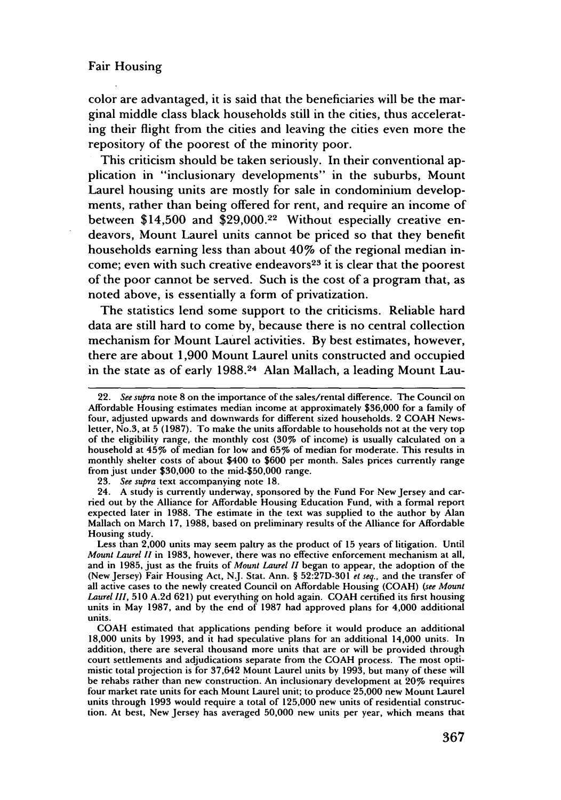color are advantaged, it is said that the beneficiaries will be the marginal middle class black households still in the cities, thus accelerating their flight from the cities and leaving the cities even more the repository of the poorest of the minority poor.

This criticism should be taken seriously. In their conventional application in "inclusionary developments" in the suburbs, Mount Laurel housing units are mostly for sale in condominium developments, rather than being offered for rent, and require an income of between \$14,500 and \$29,000.22 Without especially creative endeavors, Mount Laurel units cannot be priced so that they benefit households earning less than about 40% of the regional median income; even with such creative endeavors $23$  it is clear that the poorest of the poor cannot be served. Such is the cost of a program that, as noted above, is essentially a form of privatization.

The statistics lend some support to the criticisms. Reliable hard data are still hard to come by, because there is no central collection mechanism for Mount Laurel activities. By best estimates, however, there are about 1,900 Mount Laurel units constructed and occupied in the state as of early 1988.24 Alan Mallach, a leading Mount Lau-

23. *See supra* text accompanying note 18.

<sup>22.</sup> *See supra* note **8** on the importance of the sales/rental difference. The Council on Affordable Housing estimates median income at approximately \$36,000 for a family of four, adjusted upwards and downwards for different sized households. 2 COAH Newsletter, No.3, at 5 (1987). To make the units affordable to households not at the very top of the eligibility range, the monthly cost  $(30\% \text{ of income})$  is usually calculated on a household at 45% of median for low and 65% of median for moderate. This results in monthly shelter costs of about \$400 to \$600 per month. Sales prices currently range from just under \$30,000 to the mid-\$50,000 range.

<sup>24.</sup> A study is currently underway, sponsored by the Fund For New Jersey and carried out by the Alliance for Affordable Housing Education Fund, with a formal report expected later in 1988. The estimate in the text was supplied to the author by Alan Mallach on March 17, 1988, based on preliminary results of the Alliance for Affordable Housing study.

Less than 2,000 units may seem paltry as the product of 15 years of litigation. Until *Mount Laurel IH* in 1983, however, there was no effective enforcement mechanism at all, and in 1985, just as the fruits of *Mount Laurel II* began to appear, the adoption of the (New Jersey) Fair Housing Act, NJ. Stat. Ann. § 52:27D-301 *et seq.,* and the transfer of all active cases to the newly created Council on Affordable Housing (COAH) *(see Mount Laurel Ii,* 510 A.2d 621) put everything on hold again. COAH certified its first housing units in May 1987, and by the end of 1987 had approved plans for 4,000 additional units.

COAH estimated that applications pending before it would produce an additional 18,000 units by 1993, and it had speculative plans for an additional 14,000 units. In addition, there are several thousand more units that are or will be provided through court settlements and adjudications separate from the COAH process. The most optimistic total projection is for 37,642 Mount Laurel units by 1993, but many of these will be rehabs rather than new construction. An inclusionary development at 20% requires four market rate units for each Mount Laurel unit; to produce 25,000 new Mount Laurel units through 1993 would require a total of 125,000 new units of residential construction. At best, New Jersey has averaged 50,000 new units per year, which means that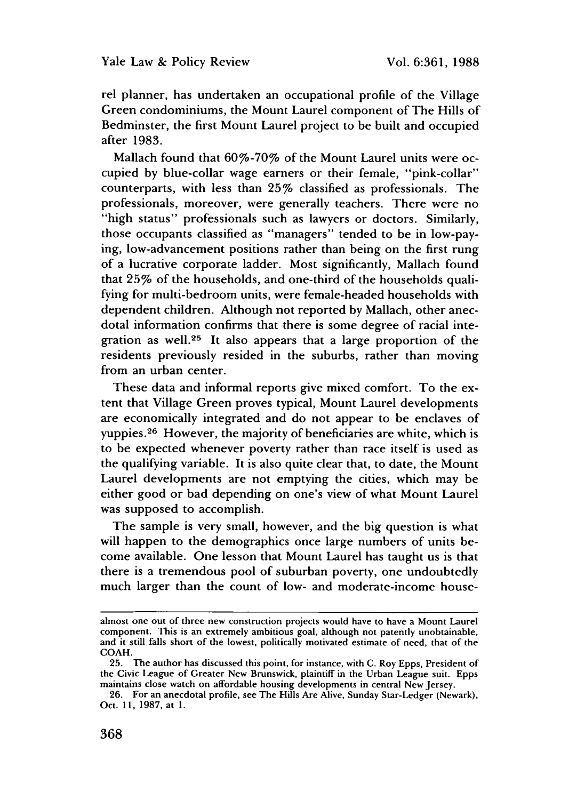rel planner, has undertaken an occupational profile of the Village Green condominiums, the Mount Laurel component of The Hills of Bedminster, the first Mount Laurel project to be built and occupied after 1983.

Mallach found that 60%-70% of the Mount Laurel units were occupied by blue-collar wage earners or their female, "pink-collar" counterparts, with less than 25% classified as professionals. The professionals, moreover, were generally teachers. There were no "high status" professionals such as lawyers or doctors. Similarly, those occupants classified as "managers" tended to be in low-paying, low-advancement positions rather than being on the first rung of a lucrative corporate ladder. Most significantly, Mallach found that 25% of the households, and one-third of the households qualifying for multi-bedroom units, were female-headed households with dependent children. Although not reported by Mallach, other anecdotal information confirms that there is some degree of racial integration as well.<sup>25</sup> It also appears that a large proportion of the residents previously resided in the suburbs, rather than moving from an urban center.

These data and informal reports give mixed comfort. To the extent that Village Green proves typical, Mount Laurel developments are economically integrated and do not appear to be enclaves of yuppies.26 However, the majority of beneficiaries are white, which is to be expected whenever poverty rather than race itself is used as the qualifying variable. It is also quite clear that, to date, the Mount Laurel developments are not emptying the cities, which may be either good or bad depending on one's view of what Mount Laurel was supposed to accomplish.

The sample is very small, however, and the big question is what will happen to the demographics once large numbers of units become available. One lesson that Mount Laurel has taught us is that there is a tremendous pool of suburban poverty, one undoubtedly much larger than the count of low- and moderate-income house-

almost one out of three new construction projects would have to have a Mount Laurel component. This is an extremely ambitious goal, although not patently unobtainable, and it still falls short of the lowest, politically motivated estimate of need, that of the COAH.

<sup>25.</sup> The author has discussed this point, for instance, with C. Roy Epps, President of the Civic League of Greater New Brunswick, plaintiff in the Urban League suit. Epps maintains close watch on affordable housing developments in central New Jersey.

<sup>26.</sup> For an anecdotal profile, see The Hills Are Alive, Sunday Star-Ledger (Newark), Oct. 11, 1987, at 1.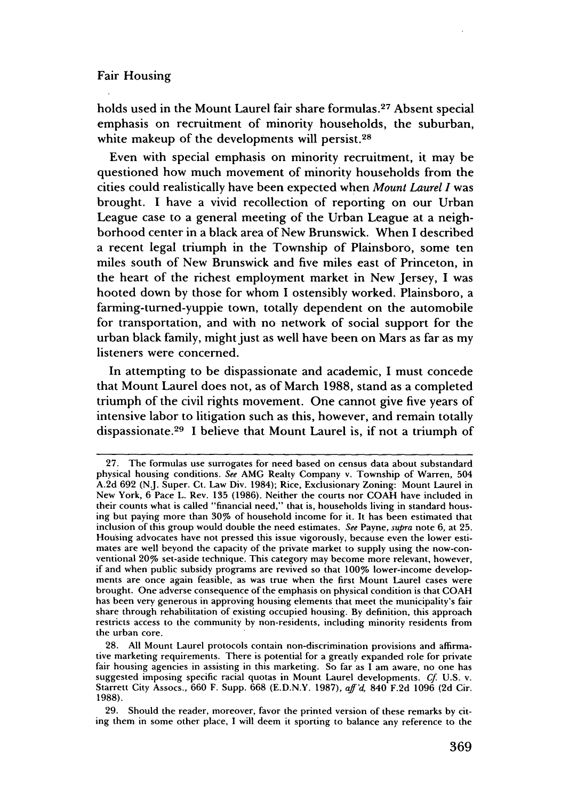holds used in the Mount Laurel fair share formulas.<sup>27</sup> Absent special emphasis on recruitment of minority households, the suburban, white makeup of the developments will persist.<sup>28</sup>

Even with special emphasis on minority recruitment, it may be questioned how much movement of minority households from the cities could realistically have been expected when *Mount Laurel I* was brought. **I** have a vivid recollection of reporting on our Urban League case to a general meeting of the Urban League at a neighborhood center in a black area of New Brunswick. When **I** described a recent legal triumph in the Township of Plainsboro, some ten miles south of New Brunswick and five miles east of Princeton, in the heart of the richest employment market in New Jersey, **I** was hooted down **by** those for whom **I** ostensibly worked. Plainsboro, a farming-turned-yuppie town, totally dependent on the automobile for transportation, and with no network of social support for the urban black family, might just as well have been on Mars as far as my listeners were concerned.

In attempting to be dispassionate and academic, **I** must concede that Mount Laurel does not, as of March **1988,** stand as a completed triumph of the civil rights movement. One cannot give five years of intensive labor to litigation such as this, however, and remain totally dispassionate.<sup>29</sup> I believe that Mount Laurel is, if not a triumph of

**<sup>27.</sup>** The formulas use surrogates for need based on census data about substandard physical housing conditions. *See* AMG Realty Company v. Township of Warren, 504 A.2d 692 (NJ. Super. Ct. Law Div. 1984); Rice, Exclusionary Zoning: Mount Laurel in New York, 6 Pace L. Rev. 135 (1986). Neither the courts nor COAH have included in their counts what is called "financial need," that is, households living in standard housing but paying more than 30% of household income for it. It has been estimated that inclusion of this group would double the need estimates. *See* Payne, *supra* note 6, at 25. Housing advocates have not pressed this issue vigorously, because even the lower estimates are well beyond the capacity of the private market to supply using the now-conventional 20% set-aside technique. This category may become more relevant, however, if and when public subsidy programs are revived so that 100% lower-income developments are once again feasible, as was true when the first Mount Laurel cases were brought. One adverse consequence of the emphasis on physical condition is that COAH has been very generous in approving housing elements that meet the municipality's fair share through rehabilitation of existing occupied housing. By definition, this approach restricts access to the community by non-residents, including minority residents from the urban core.

<sup>28.</sup> All Mount Laurel protocols contain non-discrimination provisions and affirmative marketing requirements. There is potential for a greatly expanded role for private fair housing agencies in assisting in this marketing. So far as I am aware, no one has suggested imposing specific racial quotas in Mount Laurel developments. *Cf* U.S. v. Starrett City Assocs., 660 F. Supp. 668 (E.D.N.Y. 1987), *aff'd,* 840 F.2d 1096 (2d Cir. 1988).

<sup>29.</sup> Should the reader, moreover, favor the printed version of these remarks by citing them in some other place, I will deem it sporting to balance any reference to the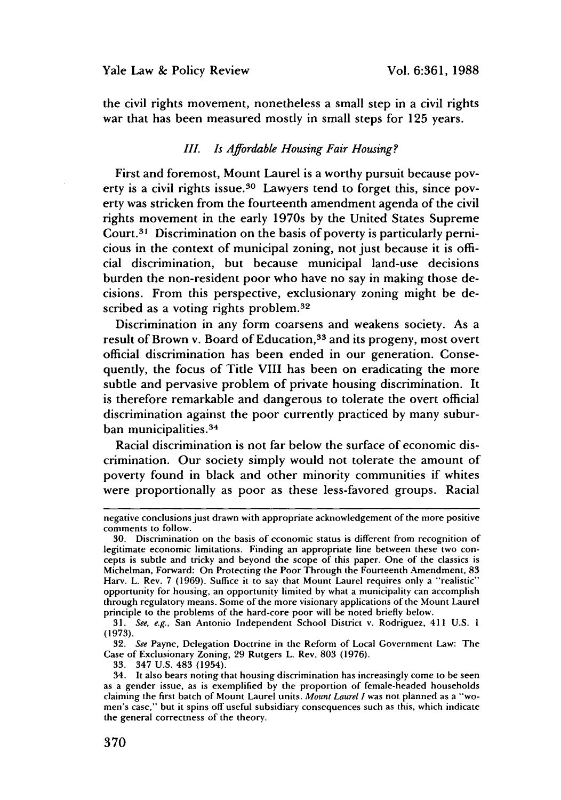the civil rights movement, nonetheless a small step in a civil rights war that has been measured mostly in small steps for **125** years.

#### *III. Is Affordable Housing Fair Housing?*

First and foremost, Mount Laurel is a worthy pursuit because poverty is a civil rights issue.<sup>30</sup> Lawyers tend to forget this, since poverty was stricken from the fourteenth amendment agenda of the civil rights movement in the early 1970s **by** the United States Supreme Court.<sup>31</sup> Discrimination on the basis of poverty is particularly pernicious in the context of municipal zoning, not just because it is official discrimination, but because municipal land-use decisions burden the non-resident poor who have no say in making those decisions. From this perspective, exclusionary zoning might be described as a voting rights problem.<sup>32</sup>

Discrimination in any form coarsens and weakens society. As a result of Brown v. Board of Education,<sup>33</sup> and its progeny, most overt official discrimination has been ended in our generation. Consequently, the focus of Title VIII has been on eradicating the more subtle and pervasive problem of private housing discrimination. It is therefore remarkable and dangerous to tolerate the overt official discrimination against the poor currently practiced **by** many suburban municipalities.<sup>34</sup>

Racial discrimination is not far below the surface of economic discrimination. Our society simply would not tolerate the amount of poverty found in black and other minority communities if whites were proportionally as poor as these less-favored groups. Racial

negative conclusions just drawn with appropriate acknowledgement of the more positive comments to follow.

<sup>30.</sup> Discrimination on the basis of economic status is different from recognition of legitimate economic limitations. Finding an appropriate line between these two concepts is subtle and tricky and beyond the scope of this paper. One of the classics is Michelman, Forward: On Protecting the Poor Through the Fourteenth Amendment, 83 Harv. L. Rev. 7 (1969). Suffice it to say that Mount Laurel requires only a "realistic" opportunity for housing, an opportunity limited **by** what a municipality can accomplish through regulatory means. Some of the more visionary applications of the Mount Laurel principle to the problems of the hard-core poor will be noted briefly below.

<sup>31.</sup> *See, e.g.,* San Antonio Independent School District v. Rodriguez, 411 U.S. **1** (1973).

<sup>32.</sup> *See* Payne, Delegation Doctrine in the Reform of Local Government Law: The Case of Exclusionary Zoning, 29 Rutgers L. Rev. 803 (1976).

<sup>33. 347</sup> U.S. 483 (1954).

<sup>34.</sup> It also bears noting that housing discrimination has increasingly come to be seen as a gender issue, as is exemplified **by** the proportion of female-headed households claiming the first batch of Mount Laurel units. *Mount Laurel I* was not planned as a "women's case," but it spins off useful subsidiary consequences such as this, which indicate the general correctness of the theory.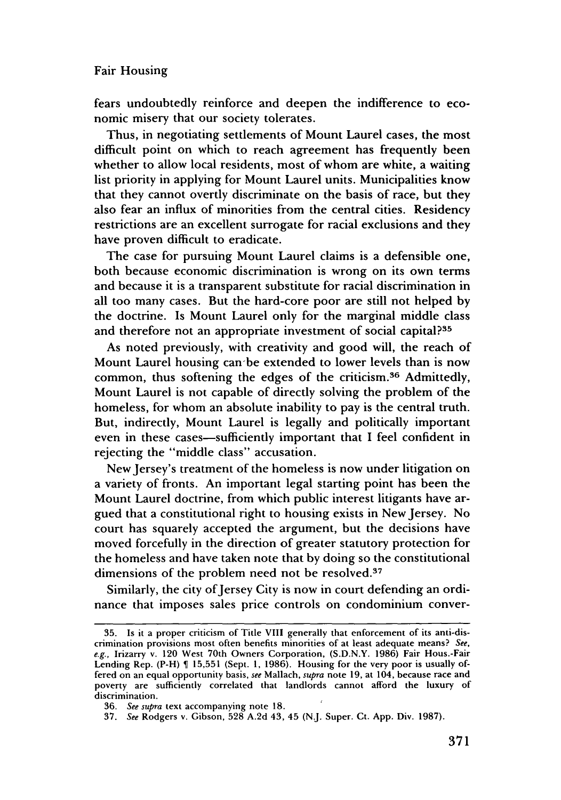fears undoubtedly reinforce and deepen the indifference to economic misery that our society tolerates.

Thus, in negotiating settlements of Mount Laurel cases, the most difficult point on which to reach agreement has frequently been whether to allow local residents, most of whom are white, a waiting list priority in applying for Mount Laurel units. Municipalities know that they cannot overtly discriminate on the basis of race, but they also fear an influx of minorities from the central cities. Residency restrictions are an excellent surrogate for racial exclusions and they have proven difficult to eradicate.

The case for pursuing Mount Laurel claims is a defensible one, both because economic discrimination is wrong on its own terms and because it is a transparent substitute for racial discrimination in all too many cases. But the hard-core poor are still not helped by the doctrine. Is Mount Laurel only for the marginal middle class and therefore not an appropriate investment of social capital?<sup>35</sup>

As noted previously, with creativity and good will, the reach of Mount Laurel housing can-be extended to lower levels than is now common, thus softening the edges of the criticism.<sup>36</sup> Admittedly, Mount Laurel is not capable of directly solving the problem of the homeless, for whom an absolute inability to pay is the central truth. But, indirectly, Mount Laurel is legally and politically important even in these cases-sufficiently important that I feel confident in rejecting the "middle class" accusation.

New Jersey's treatment of the homeless is now under litigation on a variety of fronts. An important legal starting point has been the Mount Laurel doctrine, from which public interest litigants have argued that a constitutional right to housing exists in New Jersey. No court has squarely accepted the argument, but the decisions have moved forcefully in the direction of greater statutory protection for the homeless and have taken note that by doing so the constitutional dimensions of the problem need not be resolved.<sup>37</sup>

Similarly, the city of Jersey City is now in court defending an ordinance that imposes sales price controls on condominium conver-

<sup>35.</sup> Is it a proper criticism of Title VIII generally that enforcement of its anti-discrimination provisions most often benefits minorities of at least adequate means? *See, e.g.,* Irizarry v. 120 West 70th Owners Corporation, (S.D.N.Y. 1986) Fair Hous.-Fair Lending Rep.  $(P-H) \parallel 15,551$  (Sept. 1, 1986). Housing for the very poor is usually offered on an equal opportunity basis, *see* Mallach, *supra* note 19, at 104, because race and poverty are sufficiently correlated that landlords cannot afford the luxury of discrimination.

<sup>36.</sup> *See supra* text accompanying note 18.

<sup>37.</sup> *See* Rodgers v. Gibson, 528 A.2d 43, 45 (N.J. Super. Ct. App. Div. 1987).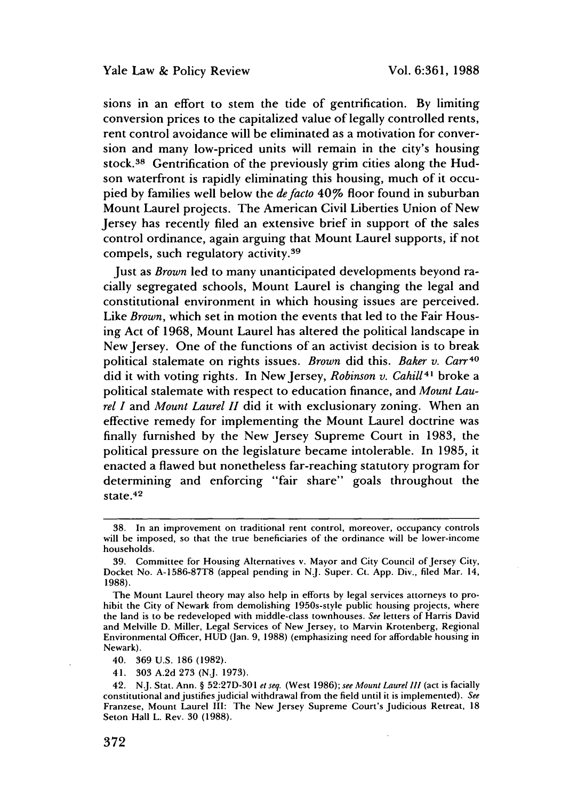sions in an effort to stem the tide of gentrification. By limiting conversion prices to the capitalized value of legally controlled rents, rent control avoidance will be eliminated as a motivation for conversion and many low-priced units will remain in the city's housing stock.38 Gentrification of the previously grim cities along the Hudson waterfront is rapidly eliminating this housing, much of it occupied by families well below the *defacto* 40% floor found in suburban Mount Laurel projects. The American Civil Liberties Union of New Jersey has recently filed an extensive brief in support of the sales control ordinance, again arguing that Mount Laurel supports, if not compels, such regulatory activity.<sup>39</sup>

Just as *Brown* led to many unanticipated developments beyond racially segregated schools, Mount Laurel is changing the legal and constitutional environment in which housing issues are perceived. Like *Brown,* which set in motion the events that led to the Fair Housing Act of 1968, Mount Laurel has altered the political landscape in New Jersey. One of the functions of an activist decision is to break political stalemate on rights issues. *Brown* did this. *Baker v. Carr40* did it with voting rights. In New Jersey, *Robinson v. Cahill*<sup>41</sup> broke a political stalemate with respect to education finance, and *Mount Laurel I* and *Mount Laurel II* did it with exclusionary zoning. When an effective remedy for implementing the Mount Laurel doctrine was finally furnished by the New Jersey Supreme Court in 1983, the political pressure on the legislature became intolerable. In 1985, it enacted a flawed but nonetheless far-reaching statutory program for determining and enforcing "fair share" goals throughout the state. <sup>42</sup>

<sup>38.</sup> In an improvement on traditional rent control, moreover, occupancy controls will be imposed, so that the true beneficiaries of the ordinance will be lower-income households.

<sup>39.</sup> Committee for Housing Alternatives v. Mayor and City Council of Jersey City, Docket No. A-1586-87T8 (appeal pending in N.J. Super. Ct. App. Div., filed Mar. 14, 1988).

The Mount Laurel theory may also help in efforts by legal services attorneys to prohibit the City of Newark from demolishing 1950s-style public housing projects, where the land is to be redeveloped with middle-class townhouses. *See* letters of Harris David and Melville D. Miller, Legal Services of New Jersey, to Marvin Krotenberg, Regional Environmental Officer, HUD (Jan. 9, 1988) (emphasizing need for affordable housing in Newark).

<sup>40. 369</sup> U.S. 186 (1982).

<sup>41. 303</sup> A.2d 273 (N.J. 1973).

<sup>42.</sup> N.J. Stat. Ann. § 52:27D-301 *e seq.* (West 1986); *see Mount Laurel III* (act is facially constitutional and justifies judicial withdrawal from the field until it is implemented). *See* Franzese, Mount Laurel III: The New Jersey Supreme Court's Judicious Retreat, 18 Seton Hall L. Rev. 30 (1988).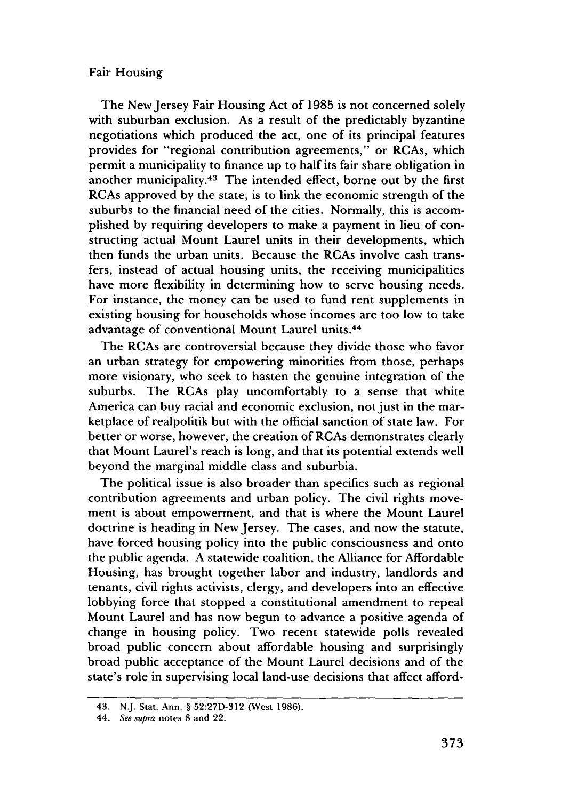The New Jersey Fair Housing Act of 1985 is not concerned solely with suburban exclusion. As a result of the predictably byzantine negotiations which produced the act, one of its principal features provides for "regional contribution agreements," or RCAs, which permit a municipality to finance up to half its fair share obligation in another municipality.<sup>43</sup> The intended effect, borne out by the first RCAs approved by the state, is to link the economic strength of the suburbs to the financial need of the cities. Normally, this is accomplished by requiring developers to make a payment in lieu of constructing actual Mount Laurel units in their developments, which then funds the urban units. Because the RCAs involve cash transfers, instead of actual housing units, the receiving municipalities have more flexibility in determining how to serve housing needs. For instance, the money can be used to fund rent supplements in existing housing for households whose incomes are too low to take advantage of conventional Mount Laurel units. <sup>44</sup>

The RCAs are controversial because they divide those who favor an urban strategy for empowering minorities from those, perhaps more visionary, who seek to hasten the genuine integration of the suburbs. The RCAs play uncomfortably to a sense that white America can buy racial and economic exclusion, not just in the marketplace of realpolitik but with the official sanction of state law. For better or worse, however, the creation of RCAs demonstrates clearly that Mount Laurel's reach is long, and that its potential extends well beyond the marginal middle class and suburbia.

The political issue is also broader than specifics such as regional contribution agreements and urban policy. The civil rights movement is about empowerment, and that is where the Mount Laurel doctrine is heading in New Jersey. The cases, and now the statute, have forced housing policy into the public consciousness and onto the public agenda. A statewide coalition, the Alliance for Affordable Housing, has brought together labor and industry, landlords and tenants, civil rights activists, clergy, and developers into an effective lobbying force that stopped a constitutional amendment to repeal Mount Laurel and has now begun to advance a positive agenda of change in housing policy. Two recent statewide polls revealed broad public concern about affordable housing and surprisingly broad public acceptance of the Mount Laurel decisions and of the state's role in supervising local land-use decisions that affect afford-

<sup>43.</sup> N.J. Stat. Ann. § 52:27D-312 (West 1986).

<sup>44.</sup> *See supra* notes 8 and 22.